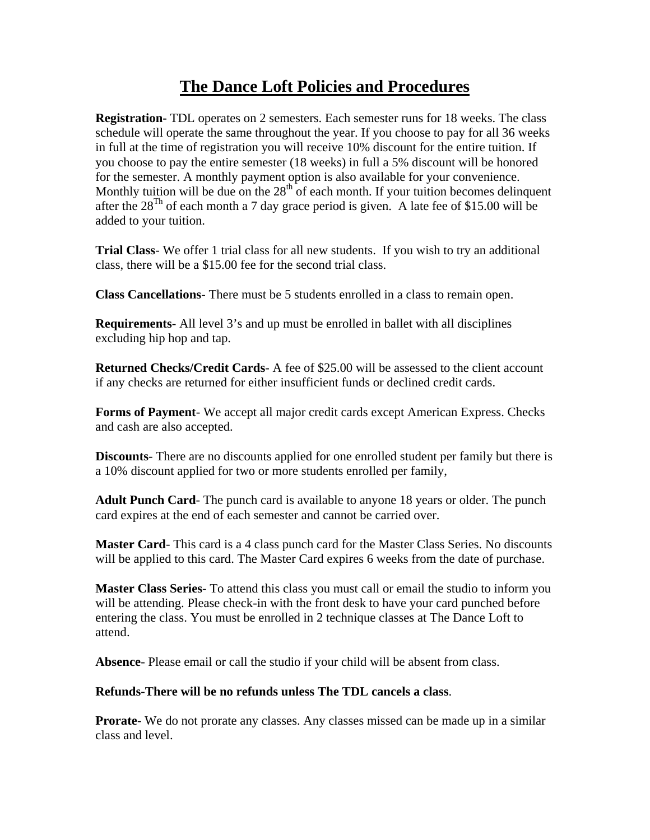## **The Dance Loft Policies and Procedures**

**Registration-** TDL operates on 2 semesters. Each semester runs for 18 weeks. The class schedule will operate the same throughout the year. If you choose to pay for all 36 weeks in full at the time of registration you will receive 10% discount for the entire tuition. If you choose to pay the entire semester (18 weeks) in full a 5% discount will be honored for the semester. A monthly payment option is also available for your convenience. Monthly tuition will be due on the  $28<sup>th</sup>$  of each month. If your tuition becomes delinquent after the  $28^{Th}$  of each month a 7 day grace period is given. A late fee of \$15.00 will be added to your tuition.

**Trial Class**- We offer 1 trial class for all new students. If you wish to try an additional class, there will be a \$15.00 fee for the second trial class.

**Class Cancellations**- There must be 5 students enrolled in a class to remain open.

**Requirements**- All level 3's and up must be enrolled in ballet with all disciplines excluding hip hop and tap.

**Returned Checks/Credit Cards**- A fee of \$25.00 will be assessed to the client account if any checks are returned for either insufficient funds or declined credit cards.

**Forms of Payment**- We accept all major credit cards except American Express. Checks and cash are also accepted.

**Discounts**- There are no discounts applied for one enrolled student per family but there is a 10% discount applied for two or more students enrolled per family,

**Adult Punch Card**- The punch card is available to anyone 18 years or older. The punch card expires at the end of each semester and cannot be carried over.

**Master Card**- This card is a 4 class punch card for the Master Class Series. No discounts will be applied to this card. The Master Card expires 6 weeks from the date of purchase.

**Master Class Series**- To attend this class you must call or email the studio to inform you will be attending. Please check-in with the front desk to have your card punched before entering the class. You must be enrolled in 2 technique classes at The Dance Loft to attend.

**Absence**- Please email or call the studio if your child will be absent from class.

## **Refunds-There will be no refunds unless The TDL cancels a class**.

**Prorate**- We do not prorate any classes. Any classes missed can be made up in a similar class and level.